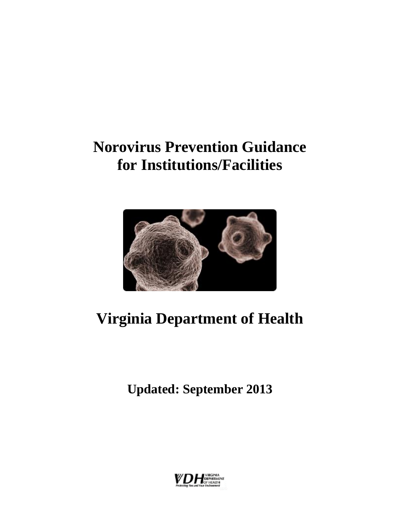## **Norovirus Prevention Guidance for Institutions/Facilities**



# **Virginia Department of Health**

**Updated: September 2013**

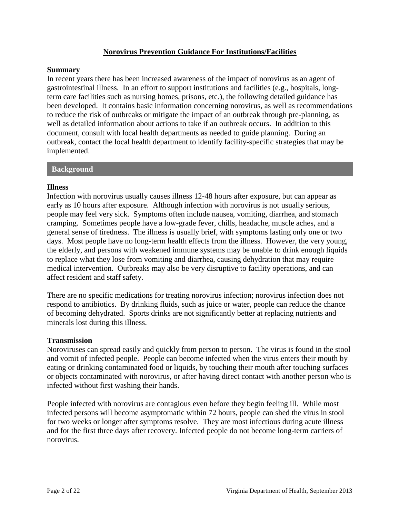#### **Norovirus Prevention Guidance For Institutions/Facilities**

#### **Summary**

In recent years there has been increased awareness of the impact of norovirus as an agent of gastrointestinal illness. In an effort to support institutions and facilities (e.g., hospitals, longterm care facilities such as nursing homes, prisons, etc.), the following detailed guidance has been developed. It contains basic information concerning norovirus, as well as recommendations to reduce the risk of outbreaks or mitigate the impact of an outbreak through pre-planning, as well as detailed information about actions to take if an outbreak occurs. In addition to this document, consult with local health departments as needed to guide planning. During an outbreak, contact the local health department to identify facility-specific strategies that may be implemented.

#### **Background**

#### **Illness**

Infection with norovirus usually causes illness 12-48 hours after exposure, but can appear as early as 10 hours after exposure. Although infection with norovirus is not usually serious, people may feel very sick. Symptoms often include nausea, vomiting, diarrhea, and stomach cramping. Sometimes people have a low-grade fever, chills, headache, muscle aches, and a general sense of tiredness. The illness is usually brief, with symptoms lasting only one or two days. Most people have no long-term health effects from the illness. However, the very young, the elderly, and persons with weakened immune systems may be unable to drink enough liquids to replace what they lose from vomiting and diarrhea, causing dehydration that may require medical intervention. Outbreaks may also be very disruptive to facility operations, and can affect resident and staff safety.

There are no specific medications for treating norovirus infection; norovirus infection does not respond to antibiotics. By drinking fluids, such as juice or water, people can reduce the chance of becoming dehydrated. Sports drinks are not significantly better at replacing nutrients and minerals lost during this illness.

#### **Transmission**

Noroviruses can spread easily and quickly from person to person. The virus is found in the stool and vomit of infected people. People can become infected when the virus enters their mouth by eating or drinking contaminated food or liquids, by touching their mouth after touching surfaces or objects contaminated with norovirus, or after having direct contact with another person who is infected without first washing their hands.

People infected with norovirus are contagious even before they begin feeling ill. While most infected persons will become asymptomatic within 72 hours, people can shed the virus in stool for two weeks or longer after symptoms resolve. They are most infectious during acute illness and for the first three days after recovery. Infected people do not become long-term carriers of norovirus.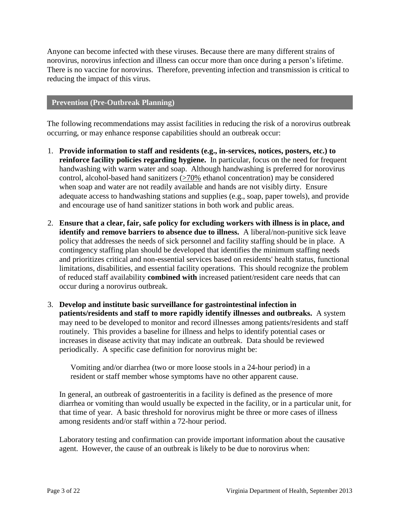Anyone can become infected with these viruses. Because there are many different strains of norovirus, norovirus infection and illness can occur more than once during a person's lifetime. There is no vaccine for norovirus. Therefore, preventing infection and transmission is critical to reducing the impact of this virus.

#### **Prevention (Pre-Outbreak Planning)**

The following recommendations may assist facilities in reducing the risk of a norovirus outbreak occurring, or may enhance response capabilities should an outbreak occur:

- 1. **Provide information to staff and residents (e.g., in-services, notices, posters, etc.) to reinforce facility policies regarding hygiene.** In particular, focus on the need for frequent handwashing with warm water and soap. Although handwashing is preferred for norovirus control, alcohol-based hand sanitizers  $(270\%$  ethanol concentration) may be considered when soap and water are not readily available and hands are not visibly dirty. Ensure adequate access to handwashing stations and supplies (e.g., soap, paper towels), and provide and encourage use of hand sanitizer stations in both work and public areas.
- 2. **Ensure that a clear, fair, safe policy for excluding workers with illness is in place, and identify and remove barriers to absence due to illness.** A liberal/non-punitive sick leave policy that addresses the needs of sick personnel and facility staffing should be in place. A contingency staffing plan should be developed that identifies the minimum staffing needs and prioritizes critical and non-essential services based on residents' health status, functional limitations, disabilities, and essential facility operations. This should recognize the problem of reduced staff availability **combined with** increased patient/resident care needs that can occur during a norovirus outbreak.
- 3. **Develop and institute basic surveillance for gastrointestinal infection in patients/residents and staff to more rapidly identify illnesses and outbreaks.** A system may need to be developed to monitor and record illnesses among patients/residents and staff routinely. This provides a baseline for illness and helps to identify potential cases or increases in disease activity that may indicate an outbreak. Data should be reviewed periodically. A specific case definition for norovirus might be:

Vomiting and/or diarrhea (two or more loose stools in a 24-hour period) in a resident or staff member whose symptoms have no other apparent cause.

In general, an outbreak of gastroenteritis in a facility is defined as the presence of more diarrhea or vomiting than would usually be expected in the facility, or in a particular unit, for that time of year. A basic threshold for norovirus might be three or more cases of illness among residents and/or staff within a 72-hour period.

Laboratory testing and confirmation can provide important information about the causative agent. However, the cause of an outbreak is likely to be due to norovirus when: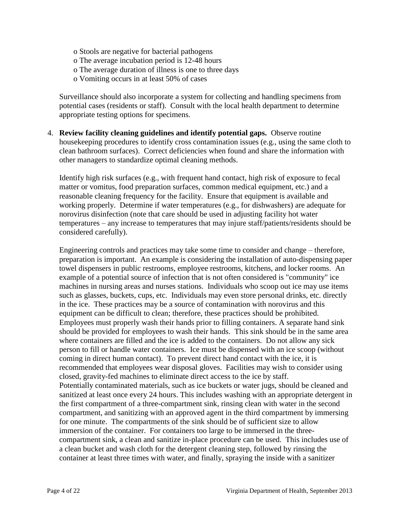- o Stools are negative for bacterial pathogens
- o The average incubation period is 12-48 hours
- o The average duration of illness is one to three days
- o Vomiting occurs in at least 50% of cases

Surveillance should also incorporate a system for collecting and handling specimens from potential cases (residents or staff). Consult with the local health department to determine appropriate testing options for specimens.

4. **Review facility cleaning guidelines and identify potential gaps.** Observe routine housekeeping procedures to identify cross contamination issues (e.g., using the same cloth to clean bathroom surfaces). Correct deficiencies when found and share the information with other managers to standardize optimal cleaning methods.

Identify high risk surfaces (e.g., with frequent hand contact, high risk of exposure to fecal matter or vomitus, food preparation surfaces, common medical equipment, etc.) and a reasonable cleaning frequency for the facility. Ensure that equipment is available and working properly. Determine if water temperatures (e.g., for dishwashers) are adequate for norovirus disinfection (note that care should be used in adjusting facility hot water temperatures – any increase to temperatures that may injure staff/patients/residents should be considered carefully).

Engineering controls and practices may take some time to consider and change – therefore, preparation is important. An example is considering the installation of auto-dispensing paper towel dispensers in public restrooms, employee restrooms, kitchens, and locker rooms. An example of a potential source of infection that is not often considered is "community" ice machines in nursing areas and nurses stations. Individuals who scoop out ice may use items such as glasses, buckets, cups, etc. Individuals may even store personal drinks, etc. directly in the ice. These practices may be a source of contamination with norovirus and this equipment can be difficult to clean; therefore, these practices should be prohibited. Employees must properly wash their hands prior to filling containers. A separate hand sink should be provided for employees to wash their hands. This sink should be in the same area where containers are filled and the ice is added to the containers. Do not allow any sick person to fill or handle water containers. Ice must be dispensed with an ice scoop (without coming in direct human contact). To prevent direct hand contact with the ice, it is recommended that employees wear disposal gloves. Facilities may wish to consider using closed, gravity-fed machines to eliminate direct access to the ice by staff. Potentially contaminated materials, such as ice buckets or water jugs, should be cleaned and sanitized at least once every 24 hours. This includes washing with an appropriate detergent in the first compartment of a three-compartment sink, rinsing clean with water in the second compartment, and sanitizing with an approved agent in the third compartment by immersing for one minute. The compartments of the sink should be of sufficient size to allow immersion of the container. For containers too large to be immersed in the threecompartment sink, a clean and sanitize in-place procedure can be used. This includes use of a clean bucket and wash cloth for the detergent cleaning step, followed by rinsing the container at least three times with water, and finally, spraying the inside with a sanitizer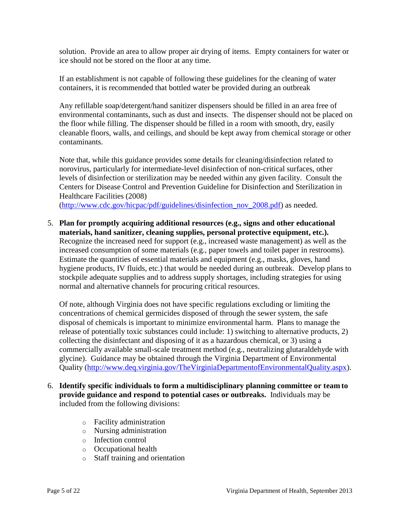solution. Provide an area to allow proper air drying of items. Empty containers for water or ice should not be stored on the floor at any time.

If an establishment is not capable of following these guidelines for the cleaning of water containers, it is recommended that bottled water be provided during an outbreak

Any refillable soap/detergent/hand sanitizer dispensers should be filled in an area free of environmental contaminants, such as dust and insects. The dispenser should not be placed on the floor while filling. The dispenser should be filled in a room with smooth, dry, easily cleanable floors, walls, and ceilings, and should be kept away from chemical storage or other contaminants.

Note that, while this guidance provides some details for cleaning/disinfection related to norovirus, particularly for intermediate-level disinfection of non-critical surfaces, other levels of disinfection or sterilization may be needed within any given facility. Consult the Centers for Disease Control and Prevention Guideline for Disinfection and Sterilization in Healthcare Facilities (2008)

[\(http://www.cdc.gov/hicpac/pdf/guidelines/disinfection\\_nov\\_2008.pdf\)](http://www.cdc.gov/hicpac/pdf/guidelines/disinfection_nov_2008.pdf) as needed.

5. **Plan for promptly acquiring additional resources (e.g., signs and other educational materials, hand sanitizer, cleaning supplies, personal protective equipment, etc.).** Recognize the increased need for support (e.g., increased waste management) as well as the increased consumption of some materials (e.g., paper towels and toilet paper in restrooms). Estimate the quantities of essential materials and equipment (e.g., masks, gloves, hand hygiene products, IV fluids, etc.) that would be needed during an outbreak. Develop plans to stockpile adequate supplies and to address supply shortages, including strategies for using normal and alternative channels for procuring critical resources.

Of note, although Virginia does not have specific regulations excluding or limiting the concentrations of chemical germicides disposed of through the sewer system, the safe disposal of chemicals is important to minimize environmental harm. Plans to manage the release of potentially toxic substances could include: 1) switching to alternative products, 2) collecting the disinfectant and disposing of it as a hazardous chemical, or 3) using a commercially available small-scale treatment method (e.g., neutralizing glutaraldehyde with glycine). Guidance may be obtained through the Virginia Department of Environmental Quality [\(http://www.deq.virginia.gov/TheVirginiaDepartmentofEnvironmentalQuality.aspx\)](http://www.deq.virginia.gov/TheVirginiaDepartmentofEnvironmentalQuality.aspx).

- 6. **Identify specific individuals to form a multidisciplinary planning committee or team to provide guidance and respond to potential cases or outbreaks.** Individuals may be included from the following divisions:
	- o Facility administration
	- o Nursing administration
	- o Infection control
	- o Occupational health
	- o Staff training and orientation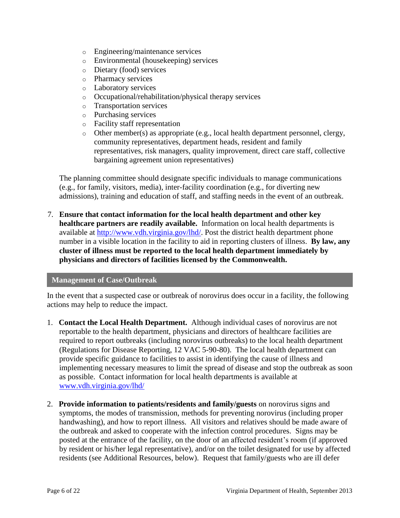- o Engineering/maintenance services
- o Environmental (housekeeping) services
- o Dietary (food) services
- o Pharmacy services
- o Laboratory services
- o Occupational/rehabilitation/physical therapy services
- o Transportation services
- o Purchasing services
- o Facility staff representation
- o Other member(s) as appropriate (e.g., local health department personnel, clergy, community representatives, department heads, resident and family representatives, risk managers, quality improvement, direct care staff, collective bargaining agreement union representatives)

The planning committee should designate specific individuals to manage communications (e.g., for family, visitors, media), inter-facility coordination (e.g., for diverting new admissions), training and education of staff, and staffing needs in the event of an outbreak.

7. **Ensure that contact information for the local health department and other key healthcare partners are readily available.** Information on local health departments is available at [http://www.vdh.virginia.gov/lhd/.](http://www.vdh.virginia.gov/lhd/) Post the district health department phone number in a visible location in the facility to aid in reporting clusters of illness. **By law, any cluster of illness must be reported to the local health department immediately by physicians and directors of facilities licensed by the Commonwealth.**

#### **Management of Case/Outbreak**

In the event that a suspected case or outbreak of norovirus does occur in a facility, the following actions may help to reduce the impact.

- 1. **Contact the Local Health Department.** Although individual cases of norovirus are not reportable to the health department, physicians and directors of healthcare facilities are required to report outbreaks (including norovirus outbreaks) to the local health department (Regulations for Disease Reporting, 12 VAC 5-90-80). The local health department can provide specific guidance to facilities to assist in identifying the cause of illness and implementing necessary measures to limit the spread of disease and stop the outbreak as soon as possible. Contact information for local health departments is available at [www.vdh.virginia.gov/lhd/](file://survinv1/dsi_doc/2010%20DCM%20Revisions%20Project/Les%20Chapters%20Ready/Norovirus%20Outbreaks%20Nov%202010%20-Apr%202011%20Final/www.vdh.virginia.gov/lhd/)
- 2. **Provide information to patients/residents and family/guests** on norovirus signs and symptoms, the modes of transmission, methods for preventing norovirus (including proper handwashing), and how to report illness. All visitors and relatives should be made aware of the outbreak and asked to cooperate with the infection control procedures. Signs may be posted at the entrance of the facility, on the door of an affected resident's room (if approved by resident or his/her legal representative), and/or on the toilet designated for use by affected residents (see Additional Resources, below). Request that family/guests who are ill defer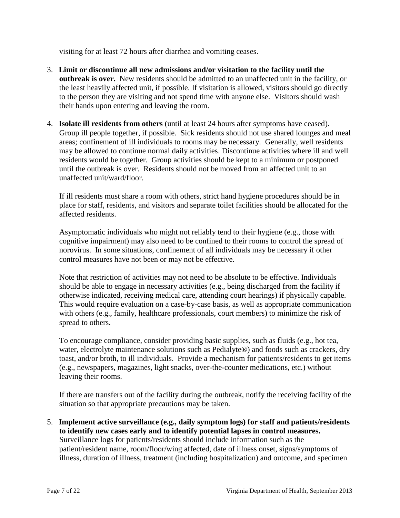visiting for at least 72 hours after diarrhea and vomiting ceases.

- 3. **Limit or discontinue all new admissions and/or visitation to the facility until the outbreak is over.** New residents should be admitted to an unaffected unit in the facility, or the least heavily affected unit, if possible. If visitation is allowed, visitors should go directly to the person they are visiting and not spend time with anyone else. Visitors should wash their hands upon entering and leaving the room.
- 4. **Isolate ill residents from others** (until at least 24 hours after symptoms have ceased). Group ill people together, if possible. Sick residents should not use shared lounges and meal areas; confinement of ill individuals to rooms may be necessary. Generally, well residents may be allowed to continue normal daily activities. Discontinue activities where ill and well residents would be together. Group activities should be kept to a minimum or postponed until the outbreak is over. Residents should not be moved from an affected unit to an unaffected unit/ward/floor.

If ill residents must share a room with others, strict hand hygiene procedures should be in place for staff, residents, and visitors and separate toilet facilities should be allocated for the affected residents.

Asymptomatic individuals who might not reliably tend to their hygiene (e.g., those with cognitive impairment) may also need to be confined to their rooms to control the spread of norovirus. In some situations, confinement of all individuals may be necessary if other control measures have not been or may not be effective.

Note that restriction of activities may not need to be absolute to be effective. Individuals should be able to engage in necessary activities (e.g., being discharged from the facility if otherwise indicated, receiving medical care, attending court hearings) if physically capable. This would require evaluation on a case-by-case basis, as well as appropriate communication with others (e.g., family, healthcare professionals, court members) to minimize the risk of spread to others.

To encourage compliance, consider providing basic supplies, such as fluids (e.g., hot tea, water, electrolyte maintenance solutions such as Pedialyte®) and foods such as crackers, dry toast, and/or broth, to ill individuals. Provide a mechanism for patients/residents to get items (e.g., newspapers, magazines, light snacks, over-the-counter medications, etc.) without leaving their rooms.

If there are transfers out of the facility during the outbreak, notify the receiving facility of the situation so that appropriate precautions may be taken.

5. **Implement active surveillance (e.g., daily symptom logs) for staff and patients/residents to identify new cases early and to identify potential lapses in control measures.** Surveillance logs for patients/residents should include information such as the patient/resident name, room/floor/wing affected, date of illness onset, signs/symptoms of illness, duration of illness, treatment (including hospitalization) and outcome, and specimen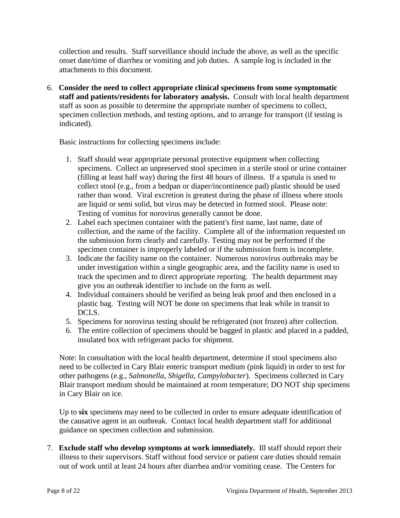collection and results. Staff surveillance should include the above, as well as the specific onset date/time of diarrhea or vomiting and job duties. A sample log is included in the attachments to this document.

6. **Consider the need to collect appropriate clinical specimens from some symptomatic staff and patients/residents for laboratory analysis.** Consult with local health department staff as soon as possible to determine the appropriate number of specimens to collect, specimen collection methods, and testing options, and to arrange for transport (if testing is indicated).

Basic instructions for collecting specimens include:

- 1. Staff should wear appropriate personal protective equipment when collecting specimens. Collect an unpreserved stool specimen in a sterile stool or urine container (filling at least half way) during the first 48 hours of illness. If a spatula is used to collect stool (e.g., from a bedpan or diaper/incontinence pad) plastic should be used rather than wood. Viral excretion is greatest during the phase of illness where stools are liquid or semi solid, but virus may be detected in formed stool. Please note: Testing of vomitus for norovirus generally cannot be done.
- 2. Label each specimen container with the patient's first name, last name, date of collection, and the name of the facility. Complete all of the information requested on the submission form clearly and carefully. Testing may not be performed if the specimen container is improperly labeled or if the submission form is incomplete.
- 3. Indicate the facility name on the container. Numerous norovirus outbreaks may be under investigation within a single geographic area, and the facility name is used to track the specimen and to direct appropriate reporting. The health department may give you an outbreak identifier to include on the form as well.
- 4. Individual containers should be verified as being leak proof and then enclosed in a plastic bag. Testing will NOT be done on specimens that leak while in transit to DCLS.
- 5. Specimens for norovirus testing should be refrigerated (not frozen) after collection.
- 6. The entire collection of specimens should be bagged in plastic and placed in a padded, insulated box with refrigerant packs for shipment.

Note: In consultation with the local health department, determine if stool specimens also need to be collected in Cary Blair enteric transport medium (pink liquid) in order to test for other pathogens (e.g., *Salmonella*, *Shigella*, *Campylobacter*). Specimens collected in Cary Blair transport medium should be maintained at room temperature; DO NOT ship specimens in Cary Blair on ice.

Up to **six** specimens may need to be collected in order to ensure adequate identification of the causative agent in an outbreak. Contact local health department staff for additional guidance on specimen collection and submission.

7. **Exclude staff who develop symptoms at work immediately.** Ill staff should report their illness to their supervisors. Staff without food service or patient care duties should remain out of work until at least 24 hours after diarrhea and/or vomiting cease. The Centers for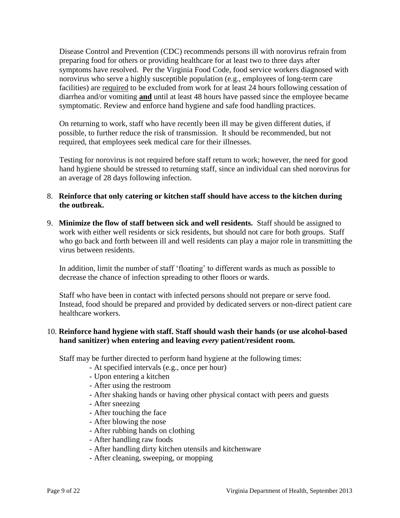Disease Control and Prevention (CDC) recommends persons ill with norovirus refrain from preparing food for others or providing healthcare for at least two to three days after symptoms have resolved. Per the Virginia Food Code, food service workers diagnosed with norovirus who serve a highly susceptible population (e.g., employees of long-term care facilities) are required to be excluded from work for at least 24 hours following cessation of diarrhea and/or vomiting **and** until at least 48 hours have passed since the employee became symptomatic. Review and enforce hand hygiene and safe food handling practices.

On returning to work, staff who have recently been ill may be given different duties, if possible, to further reduce the risk of transmission. It should be recommended, but not required, that employees seek medical care for their illnesses.

Testing for norovirus is not required before staff return to work; however, the need for good hand hygiene should be stressed to returning staff, since an individual can shed norovirus for an average of 28 days following infection.

- 8. **Reinforce that only catering or kitchen staff should have access to the kitchen during the outbreak.**
- 9. **Minimize the flow of staff between sick and well residents.** Staff should be assigned to work with either well residents or sick residents, but should not care for both groups. Staff who go back and forth between ill and well residents can play a major role in transmitting the virus between residents.

In addition, limit the number of staff 'floating' to different wards as much as possible to decrease the chance of infection spreading to other floors or wards.

Staff who have been in contact with infected persons should not prepare or serve food. Instead, food should be prepared and provided by dedicated servers or non-direct patient care healthcare workers.

#### 10. **Reinforce hand hygiene with staff. Staff should wash their hands (or use alcohol-based hand sanitizer) when entering and leaving** *every* **patient/resident room.**

Staff may be further directed to perform hand hygiene at the following times:

- At specified intervals (e.g., once per hour)
- Upon entering a kitchen
- After using the restroom
- After shaking hands or having other physical contact with peers and guests
- After sneezing
- After touching the face
- After blowing the nose
- After rubbing hands on clothing
- After handling raw foods
- After handling dirty kitchen utensils and kitchenware
- After cleaning, sweeping, or mopping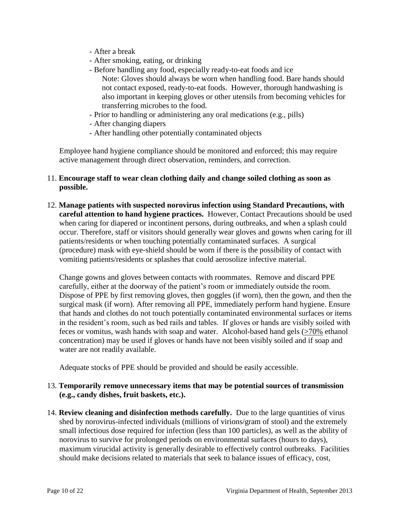- After a break
- After smoking, eating, or drinking
- Before handling any food, especially ready-to-eat foods and ice Note: Gloves should always be worn when handling food. Bare hands should
	- not contact exposed, ready-to-eat foods. However, thorough handwashing is also important in keeping gloves or other utensils from becoming vehicles for transferring microbes to the food.
- Prior to handling or administering any oral medications (e.g., pills)
- After changing diapers
- After handling other potentially contaminated objects

Employee hand hygiene compliance should be monitored and enforced; this may require active management through direct observation, reminders, and correction.

#### 11. **Encourage staff to wear clean clothing daily and change soiled clothing as soon as possible.**

12. **Manage patients with suspected norovirus infection using Standard Precautions, with careful attention to hand hygiene practices.** However, Contact Precautions should be used when caring for diapered or incontinent persons, during outbreaks, and when a splash could occur. Therefore, staff or visitors should generally wear gloves and gowns when caring for ill patients/residents or when touching potentially contaminated surfaces. A surgical (procedure) mask with eye-shield should be worn if there is the possibility of contact with vomiting patients/residents or splashes that could aerosolize infective material.

Change gowns and gloves between contacts with roommates. Remove and discard PPE carefully, either at the doorway of the patient's room or immediately outside the room. Dispose of PPE by first removing gloves, then goggles (if worn), then the gown, and then the surgical mask (if worn). After removing all PPE, immediately perform hand hygiene. Ensure that hands and clothes do not touch potentially contaminated environmental surfaces or items in the resident's room, such as bed rails and tables. If gloves or hands are visibly soiled with feces or vomitus, wash hands with soap and water. Alcohol-based hand gels (>70% ethanol concentration) may be used if gloves or hands have not been visibly soiled and if soap and water are not readily available.

Adequate stocks of PPE should be provided and should be easily accessible.

#### 13. **Temporarily remove unnecessary items that may be potential sources of transmission (e.g., candy dishes, fruit baskets, etc.).**

14. **Review cleaning and disinfection methods carefully.** Due to the large quantities of virus shed by norovirus-infected individuals (millions of virions/gram of stool) and the extremely small infectious dose required for infection (less than 100 particles), as well as the ability of norovirus to survive for prolonged periods on environmental surfaces (hours to days), maximum virucidal activity is generally desirable to effectively control outbreaks. Facilities should make decisions related to materials that seek to balance issues of efficacy, cost,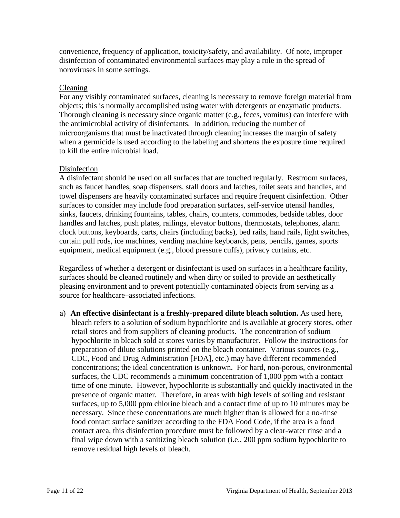convenience, frequency of application, toxicity/safety, and availability. Of note, improper disinfection of contaminated environmental surfaces may play a role in the spread of noroviruses in some settings.

#### Cleaning

For any visibly contaminated surfaces, cleaning is necessary to remove foreign material from objects; this is normally accomplished using water with detergents or enzymatic products. Thorough cleaning is necessary since organic matter (e.g., feces, vomitus) can interfere with the antimicrobial activity of disinfectants. In addition, reducing the number of microorganisms that must be inactivated through cleaning increases the margin of safety when a germicide is used according to the labeling and shortens the exposure time required to kill the entire microbial load.

#### Disinfection

A disinfectant should be used on all surfaces that are touched regularly. Restroom surfaces, such as faucet handles, soap dispensers, stall doors and latches, toilet seats and handles, and towel dispensers are heavily contaminated surfaces and require frequent disinfection. Other surfaces to consider may include food preparation surfaces, self-service utensil handles, sinks, faucets, drinking fountains, tables, chairs, counters, commodes, bedside tables, door handles and latches, push plates, railings, elevator buttons, thermostats, telephones, alarm clock buttons, keyboards, carts, chairs (including backs), bed rails, hand rails, light switches, curtain pull rods, ice machines, vending machine keyboards, pens, pencils, games, sports equipment, medical equipment (e.g., blood pressure cuffs), privacy curtains, etc.

Regardless of whether a detergent or disinfectant is used on surfaces in a healthcare facility, surfaces should be cleaned routinely and when dirty or soiled to provide an aesthetically pleasing environment and to prevent potentially contaminated objects from serving as a source for healthcare–associated infections.

a) **An effective disinfectant is a freshly-prepared dilute bleach solution.** As used here, bleach refers to a solution of sodium hypochlorite and is available at grocery stores, other retail stores and from suppliers of cleaning products. The concentration of sodium hypochlorite in bleach sold at stores varies by manufacturer. Follow the instructions for preparation of dilute solutions printed on the bleach container. Various sources (e.g., CDC, Food and Drug Administration [FDA], etc.) may have different recommended concentrations; the ideal concentration is unknown. For hard, non-porous, environmental surfaces, the CDC recommends a minimum concentration of 1,000 ppm with a contact time of one minute. However, hypochlorite is substantially and quickly inactivated in the presence of organic matter.Therefore, in areas with high levels of soiling and resistant surfaces, up to 5,000 ppm chlorine bleach and a contact time of up to 10 minutes may be necessary. Since these concentrations are much higher than is allowed for a no-rinse food contact surface sanitizer according to the FDA Food Code, if the area is a food contact area, this disinfection procedure must be followed by a clear-water rinse and a final wipe down with a sanitizing bleach solution (i.e., 200 ppm sodium hypochlorite to remove residual high levels of bleach.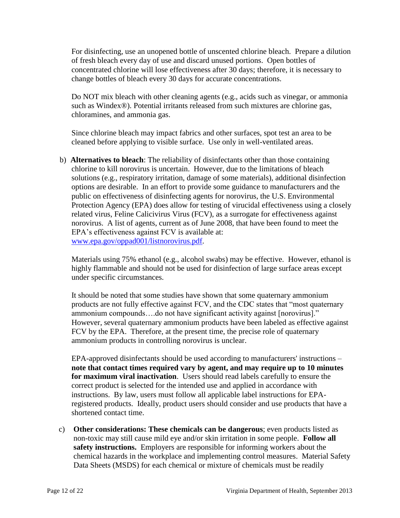For disinfecting, use an unopened bottle of unscented chlorine bleach. Prepare a dilution of fresh bleach every day of use and discard unused portions. Open bottles of concentrated chlorine will lose effectiveness after 30 days; therefore, it is necessary to change bottles of bleach every 30 days for accurate concentrations.

Do NOT mix bleach with other cleaning agents (e.g., acids such as vinegar, or ammonia such as Windex®). Potential irritants released from such mixtures are chlorine gas, chloramines, and ammonia gas.

Since chlorine bleach may impact fabrics and other surfaces, spot test an area to be cleaned before applying to visible surface. Use only in well-ventilated areas.

b) **Alternatives to bleach**: The reliability of disinfectants other than those containing chlorine to kill norovirus is uncertain. However, due to the limitations of bleach solutions (e.g., respiratory irritation, damage of some materials), additional disinfection options are desirable. In an effort to provide some guidance to manufacturers and the public on effectiveness of disinfecting agents for norovirus, the U.S. Environmental Protection Agency (EPA) does allow for testing of virucidal effectiveness using a closely related virus, Feline Calicivirus Virus (FCV), as a surrogate for effectiveness against norovirus. A list of agents, current as of June 2008, that have been found to meet the EPA's effectiveness against FCV is available at: [www.epa.gov/oppad001/listnorovirus.pdf.](http://www.epa.gov/oppad001/listnorovirus.pdf)

Materials using 75% ethanol (e.g., alcohol swabs) may be effective. However, ethanol is highly flammable and should not be used for disinfection of large surface areas except under specific circumstances.

It should be noted that some studies have shown that some quaternary ammonium products are not fully effective against FCV, and the CDC states that "most quaternary ammonium compounds….do not have significant activity against [norovirus]." However, several quaternary ammonium products have been labeled as effective against FCV by the EPA. Therefore, at the present time, the precise role of quaternary ammonium products in controlling norovirus is unclear.

EPA-approved disinfectants should be used according to manufacturers' instructions – **note that contact times required vary by agent, and may require up to 10 minutes for maximum viral inactivation**. Users should read labels carefully to ensure the correct product is selected for the intended use and applied in accordance with instructions. By law, users must follow all applicable label instructions for EPAregistered products. Ideally, product users should consider and use products that have a shortened contact time.

c) **Other considerations: These chemicals can be dangerous**; even products listed as non-toxic may still cause mild eye and/or skin irritation in some people. **Follow all safety instructions.** Employers are responsible for informing workers about the chemical hazards in the workplace and implementing control measures. Material Safety Data Sheets (MSDS) for each chemical or mixture of chemicals must be readily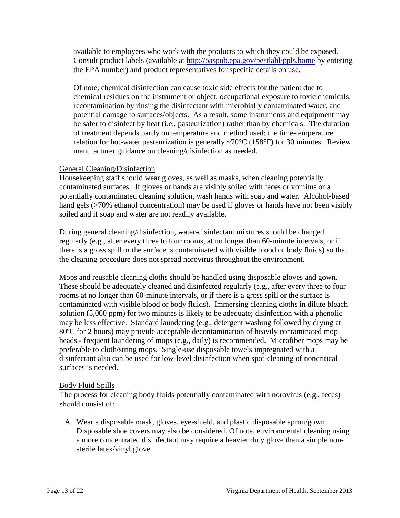available to employees who work with the products to which they could be exposed. Consult product labels (available at<http://oaspub.epa.gov/pestlabl/ppls.home> by entering the EPA number) and product representatives for specific details on use.

Of note, chemical disinfection can cause toxic side effects for the patient due to chemical residues on the instrument or object, occupational exposure to toxic chemicals, recontamination by rinsing the disinfectant with microbially contaminated water, and potential damage to surfaces/objects. As a result, some instruments and equipment may be safer to disinfect by heat (i.e., pasteurization) rather than by chemicals. The duration of treatment depends partly on temperature and method used; the time-temperature relation for hot-water pasteurization is generally  $\sim 70^{\circ}$ C (158°F) for 30 minutes. Review manufacturer guidance on cleaning/disinfection as needed.

#### General Cleaning/Disinfection

Housekeeping staff should wear gloves, as well as masks, when cleaning potentially contaminated surfaces. If gloves or hands are visibly soiled with feces or vomitus or a potentially contaminated cleaning solution, wash hands with soap and water. Alcohol-based hand gels ( $>70\%$  ethanol concentration) may be used if gloves or hands have not been visibly soiled and if soap and water are not readily available.

During general cleaning/disinfection, water-disinfectant mixtures should be changed regularly (e.g., after every three to four rooms, at no longer than 60-minute intervals, or if there is a gross spill or the surface is contaminated with visible blood or body fluids) so that the cleaning procedure does not spread norovirus throughout the environment.

Mops and reusable cleaning cloths should be handled using disposable gloves and gown. These should be adequately cleaned and disinfected regularly (e.g., after every three to four rooms at no longer than 60-minute intervals, or if there is a gross spill or the surface is contaminated with visible blood or body fluids). Immersing cleaning cloths in dilute bleach solution (5,000 ppm) for two minutes is likely to be adequate; disinfection with a phenolic may be less effective. Standard laundering (e.g., detergent washing followed by drying at 80ºC for 2 hours) may provide acceptable decontamination of heavily contaminated mop heads - frequent laundering of mops (e.g., daily) is recommended. Microfiber mops may be preferable to cloth/string mops. Single-use disposable towels impregnated with a disinfectant also can be used for low-level disinfection when spot-cleaning of noncritical surfaces is needed.

#### Body Fluid Spills

The process for cleaning body fluids potentially contaminated with norovirus (e.g., feces) should consist of:

A. Wear a disposable mask, gloves, eye-shield, and plastic disposable apron/gown. Disposable shoe covers may also be considered. Of note, environmental cleaning using a more concentrated disinfectant may require a heavier duty glove than a simple nonsterile latex/vinyl glove.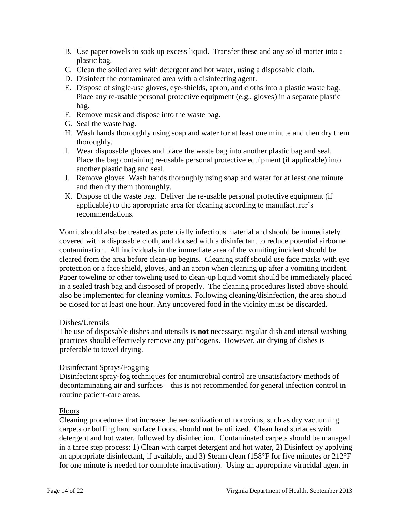- B. Use paper towels to soak up excess liquid. Transfer these and any solid matter into a plastic bag.
- C. Clean the soiled area with detergent and hot water, using a disposable cloth.
- D. Disinfect the contaminated area with a disinfecting agent.
- E. Dispose of single-use gloves, eye-shields, apron, and cloths into a plastic waste bag. Place any re-usable personal protective equipment (e.g., gloves) in a separate plastic bag.
- F. Remove mask and dispose into the waste bag.
- G. Seal the waste bag.
- H. Wash hands thoroughly using soap and water for at least one minute and then dry them thoroughly.
- I. Wear disposable gloves and place the waste bag into another plastic bag and seal. Place the bag containing re-usable personal protective equipment (if applicable) into another plastic bag and seal.
- J. Remove gloves. Wash hands thoroughly using soap and water for at least one minute and then dry them thoroughly.
- K. Dispose of the waste bag. Deliver the re-usable personal protective equipment (if applicable) to the appropriate area for cleaning according to manufacturer's recommendations.

Vomit should also be treated as potentially infectious material and should be immediately covered with a disposable cloth, and doused with a disinfectant to reduce potential airborne contamination. All individuals in the immediate area of the vomiting incident should be cleared from the area before clean-up begins. Cleaning staff should use face masks with eye protection or a face shield, gloves, and an apron when cleaning up after a vomiting incident. Paper toweling or other toweling used to clean-up liquid vomit should be immediately placed in a sealed trash bag and disposed of properly. The cleaning procedures listed above should also be implemented for cleaning vomitus. Following cleaning/disinfection, the area should be closed for at least one hour. Any uncovered food in the vicinity must be discarded.

#### Dishes/Utensils

The use of disposable dishes and utensils is **not** necessary; regular dish and utensil washing practices should effectively remove any pathogens. However, air drying of dishes is preferable to towel drying.

#### Disinfectant Sprays/Fogging

Disinfectant spray-fog techniques for antimicrobial control are unsatisfactory methods of decontaminating air and surfaces – this is not recommended for general infection control in routine patient-care areas.

#### Floors

Cleaning procedures that increase the aerosolization of norovirus, such as dry vacuuming carpets or buffing hard surface floors, should **not** be utilized. Clean hard surfaces with detergent and hot water, followed by disinfection. Contaminated carpets should be managed in a three step process: 1) Clean with carpet detergent and hot water, 2) Disinfect by applying an appropriate disinfectant, if available, and 3) Steam clean (158°F for five minutes or 212°F for one minute is needed for complete inactivation). Using an appropriate virucidal agent in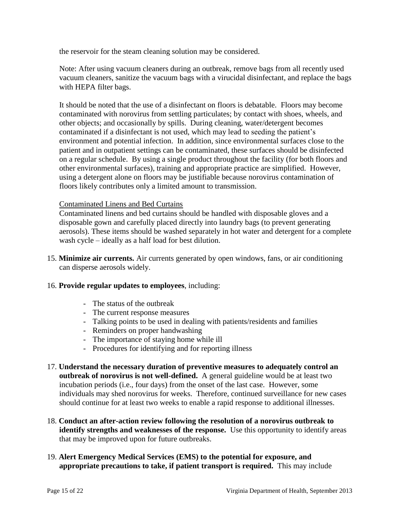the reservoir for the steam cleaning solution may be considered.

Note: After using vacuum cleaners during an outbreak, remove bags from all recently used vacuum cleaners, sanitize the vacuum bags with a virucidal disinfectant, and replace the bags with HEPA filter bags.

It should be noted that the use of a disinfectant on floors is debatable. Floors may become contaminated with norovirus from settling particulates; by contact with shoes, wheels, and other objects; and occasionally by spills. During cleaning, water/detergent becomes contaminated if a disinfectant is not used, which may lead to seeding the patient's environment and potential infection. In addition, since environmental surfaces close to the patient and in outpatient settings can be contaminated, these surfaces should be disinfected on a regular schedule. By using a single product throughout the facility (for both floors and other environmental surfaces), training and appropriate practice are simplified. However, using a detergent alone on floors may be justifiable because norovirus contamination of floors likely contributes only a limited amount to transmission.

#### Contaminated Linens and Bed Curtains

Contaminated linens and bed curtains should be handled with disposable gloves and a disposable gown and carefully placed directly into laundry bags (to prevent generating aerosols). These items should be washed separately in hot water and detergent for a complete wash cycle – ideally as a half load for best dilution.

15. **Minimize air currents.** Air currents generated by open windows, fans, or air conditioning can disperse aerosols widely.

#### 16. **Provide regular updates to employees**, including:

- The status of the outbreak
- The current response measures
- Talking points to be used in dealing with patients/residents and families
- Reminders on proper handwashing
- The importance of staying home while ill
- Procedures for identifying and for reporting illness
- 17. **Understand the necessary duration of preventive measures to adequately control an outbreak of norovirus is not well-defined.** A general guideline would be at least two incubation periods (i.e., four days) from the onset of the last case. However, some individuals may shed norovirus for weeks. Therefore, continued surveillance for new cases should continue for at least two weeks to enable a rapid response to additional illnesses.
- 18. **Conduct an after-action review following the resolution of a norovirus outbreak to identify strengths and weaknesses of the response.** Use this opportunity to identify areas that may be improved upon for future outbreaks.
- 19. **Alert Emergency Medical Services (EMS) to the potential for exposure, and appropriate precautions to take, if patient transport is required.** This may include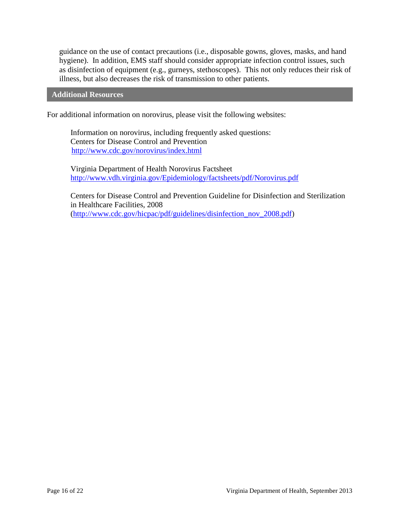guidance on the use of contact precautions (i.e., disposable gowns, gloves, masks, and hand hygiene). In addition, EMS staff should consider appropriate infection control issues, such as disinfection of equipment (e.g., gurneys, stethoscopes). This not only reduces their risk of illness, but also decreases the risk of transmission to other patients.

**Additional Resources**

For additional information on norovirus, please visit the following websites:

Information on norovirus, including frequently asked questions: Centers for Disease Control and Prevention <http://www.cdc.gov/norovirus/index.html>

Virginia Department of Health Norovirus Factsheet <http://www.vdh.virginia.gov/Epidemiology/factsheets/pdf/Norovirus.pdf>

Centers for Disease Control and Prevention Guideline for Disinfection and Sterilization in Healthcare Facilities, 2008 [\(http://www.cdc.gov/hicpac/pdf/guidelines/disinfection\\_nov\\_2008.pdf\)](http://www.cdc.gov/hicpac/pdf/guidelines/disinfection_nov_2008.pdf)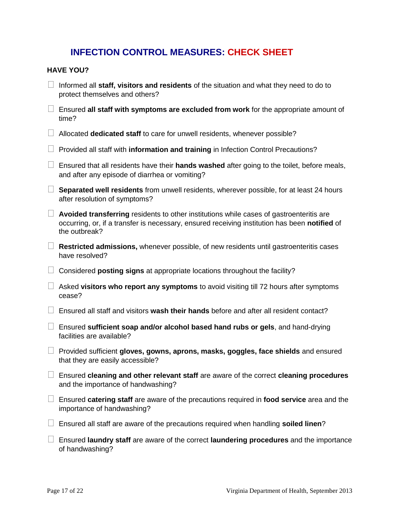#### **INFECTION CONTROL MEASURES: CHECK SHEET**

#### **HAVE YOU?**

- Informed all **staff, visitors and residents** of the situation and what they need to do to protect themselves and others?
- Ensured **all staff with symptoms are excluded from work** for the appropriate amount of time?
- Allocated **dedicated staff** to care for unwell residents, whenever possible?
- □ Provided all staff with **information and training** in Infection Control Precautions?
- Ensured that all residents have their **hands washed** after going to the toilet, before meals, and after any episode of diarrhea or vomiting?
- **Separated well residents** from unwell residents, wherever possible, for at least 24 hours after resolution of symptoms?
- **Avoided transferring** residents to other institutions while cases of gastroenteritis are occurring, or, if a transfer is necessary, ensured receiving institution has been **notified** of the outbreak?
- **Restricted admissions,** whenever possible, of new residents until gastroenteritis cases have resolved?
- Considered **posting signs** at appropriate locations throughout the facility?
- Asked **visitors who report any symptoms** to avoid visiting till 72 hours after symptoms cease?
- Ensured all staff and visitors **wash their hands** before and after all resident contact?
- Ensured **sufficient soap and/or alcohol based hand rubs or gels**, and hand-drying facilities are available?
- Provided sufficient **gloves, gowns, aprons, masks, goggles, face shields** and ensured that they are easily accessible?
- Ensured **cleaning and other relevant staff** are aware of the correct **cleaning procedures**  and the importance of handwashing?
- Ensured **catering staff** are aware of the precautions required in **food service** area and the importance of handwashing?
- Ensured all staff are aware of the precautions required when handling **soiled linen**?
- Ensured **laundry staff** are aware of the correct **laundering procedures** and the importance of handwashing?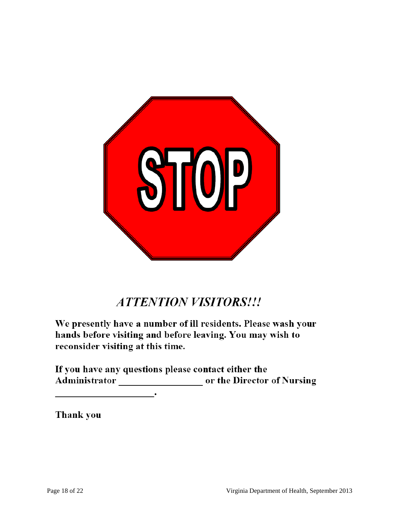

## **ATTENTION VISITORS!!!**

We presently have a number of ill residents. Please wash your hands before visiting and before leaving. You may wish to reconsider visiting at this time.

If you have any questions please contact either the Administrator or the Director of Nursing

Thank you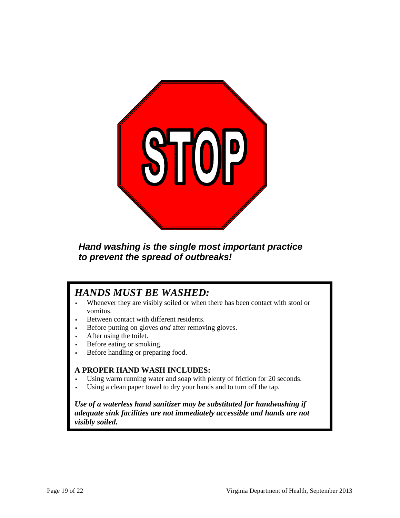

#### *Hand washing is the single most important practice to prevent the spread of outbreaks!*

### *HANDS MUST BE WASHED:*

- Whenever they are visibly soiled or when there has been contact with stool or vomitus.
- Between contact with different residents.
- Before putting on gloves *and* after removing gloves.
- After using the toilet.
- Before eating or smoking.
- Before handling or preparing food.

#### **A PROPER HAND WASH INCLUDES:**

- Using warm running water and soap with plenty of friction for 20 seconds.
- Using a clean paper towel to dry your hands and to turn off the tap.

*Use of a waterless hand sanitizer may be substituted for handwashing if adequate sink facilities are not immediately accessible and hands are not visibly soiled.*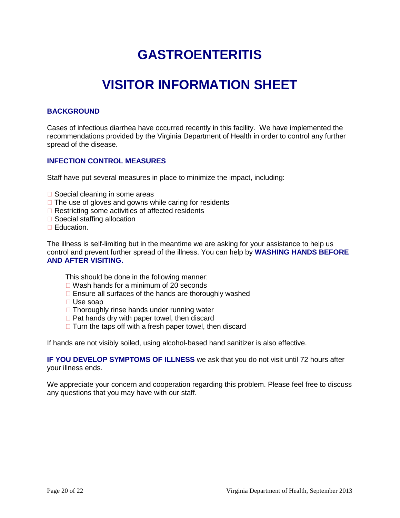## **GASTROENTERITIS**

## **VISITOR INFORMATION SHEET**

#### **BACKGROUND**

Cases of infectious diarrhea have occurred recently in this facility. We have implemented the recommendations provided by the Virginia Department of Health in order to control any further spread of the disease.

#### **INFECTION CONTROL MEASURES**

Staff have put several measures in place to minimize the impact, including:

- $\square$  Special cleaning in some areas
- $\Box$  The use of gloves and gowns while caring for residents
- $\Box$  Restricting some activities of affected residents
- $\square$  Special staffing allocation
- Education.

The illness is self-limiting but in the meantime we are asking for your assistance to help us control and prevent further spread of the illness. You can help by **WASHING HANDS BEFORE AND AFTER VISITING.**

This should be done in the following manner:

- □ Wash hands for a minimum of 20 seconds
- $\Box$  Ensure all surfaces of the hands are thoroughly washed
- Use soap
- $\Box$  Thoroughly rinse hands under running water
- $\Box$  Pat hands dry with paper towel, then discard
- $\Box$  Turn the taps off with a fresh paper towel, then discard

If hands are not visibly soiled, using alcohol-based hand sanitizer is also effective.

**IF YOU DEVELOP SYMPTOMS OF ILLNESS** we ask that you do not visit until 72 hours after your illness ends.

We appreciate your concern and cooperation regarding this problem. Please feel free to discuss any questions that you may have with our staff.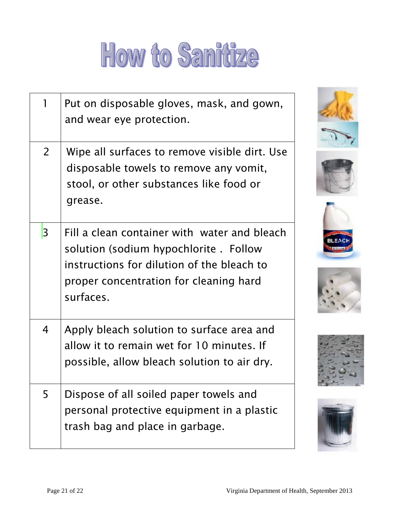# How to Sanitize

|                | Put on disposable gloves, mask, and gown,<br>and wear eye protection.                                                                                                                       |
|----------------|---------------------------------------------------------------------------------------------------------------------------------------------------------------------------------------------|
| $\overline{2}$ | Wipe all surfaces to remove visible dirt. Use<br>disposable towels to remove any vomit,<br>stool, or other substances like food or<br>grease.                                               |
| 3              | Fill a clean container with water and bleach<br>solution (sodium hypochlorite . Follow<br>instructions for dilution of the bleach to<br>proper concentration for cleaning hard<br>surfaces. |
| $\overline{4}$ | Apply bleach solution to surface area and<br>allow it to remain wet for 10 minutes. If<br>possible, allow bleach solution to air dry.                                                       |
| 5              | Dispose of all soiled paper towels and<br>personal protective equipment in a plastic<br>trash bag and place in garbage.                                                                     |